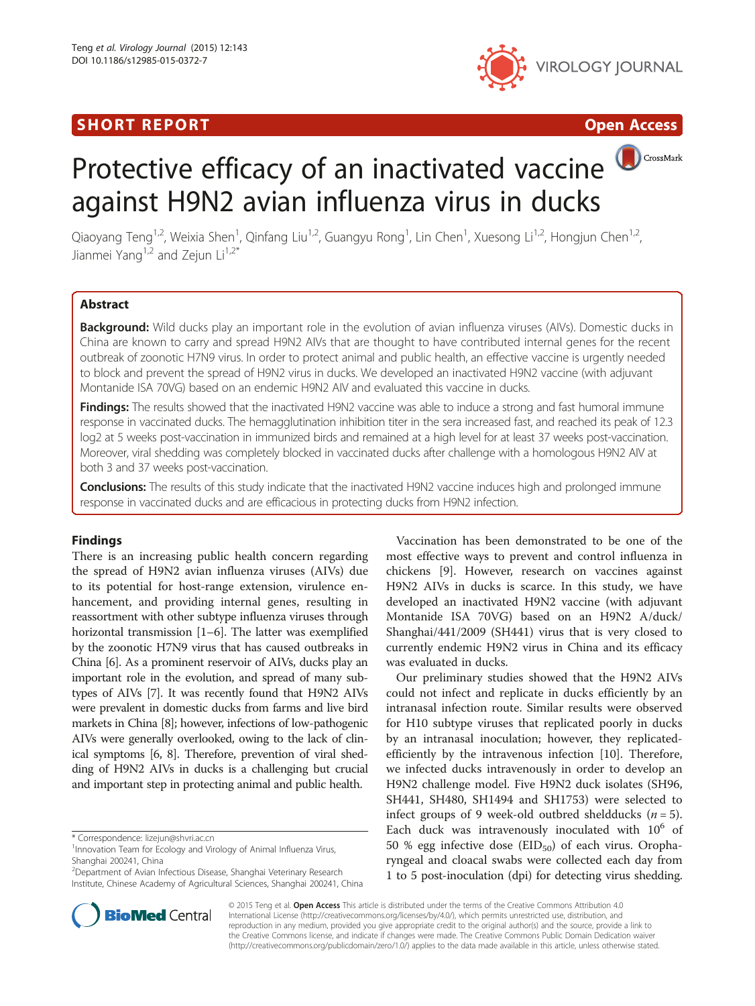## SHORT REPORT **The Contract of the Contract Open Access** (SHORT **Contract of the Contract Open Access**



CrossMark

# Protective efficacy of an inactivated vaccine against H9N2 avian influenza virus in ducks

Qiaoyang Teng<sup>1,2</sup>, Weixia Shen<sup>1</sup>, Qinfang Liu<sup>1,2</sup>, Guangyu Rong<sup>1</sup>, Lin Chen<sup>1</sup>, Xuesong Li<sup>1,2</sup>, Hongjun Chen<sup>1,2</sup>, Jianmei Yang<sup>1,2</sup> and Zejun Li<sup>1,2\*</sup>

### Abstract

Background: Wild ducks play an important role in the evolution of avian influenza viruses (AIVs). Domestic ducks in China are known to carry and spread H9N2 AIVs that are thought to have contributed internal genes for the recent outbreak of zoonotic H7N9 virus. In order to protect animal and public health, an effective vaccine is urgently needed to block and prevent the spread of H9N2 virus in ducks. We developed an inactivated H9N2 vaccine (with adjuvant Montanide ISA 70VG) based on an endemic H9N2 AIV and evaluated this vaccine in ducks.

Findings: The results showed that the inactivated H9N2 vaccine was able to induce a strong and fast humoral immune response in vaccinated ducks. The hemagglutination inhibition titer in the sera increased fast, and reached its peak of 12.3 log2 at 5 weeks post-vaccination in immunized birds and remained at a high level for at least 37 weeks post-vaccination. Moreover, viral shedding was completely blocked in vaccinated ducks after challenge with a homologous H9N2 AIV at both 3 and 37 weeks post-vaccination.

Conclusions: The results of this study indicate that the inactivated H9N2 vaccine induces high and prolonged immune response in vaccinated ducks and are efficacious in protecting ducks from H9N2 infection.

#### Findings

There is an increasing public health concern regarding the spread of H9N2 avian influenza viruses (AIVs) due to its potential for host-range extension, virulence enhancement, and providing internal genes, resulting in reassortment with other subtype influenza viruses through horizontal transmission [\[1](#page-3-0)–[6\]](#page-3-0). The latter was exemplified by the zoonotic H7N9 virus that has caused outbreaks in China [\[6\]](#page-3-0). As a prominent reservoir of AIVs, ducks play an important role in the evolution, and spread of many subtypes of AIVs [[7\]](#page-3-0). It was recently found that H9N2 AIVs were prevalent in domestic ducks from farms and live bird markets in China [\[8\]](#page-3-0); however, infections of low-pathogenic AIVs were generally overlooked, owing to the lack of clinical symptoms [\[6, 8\]](#page-3-0). Therefore, prevention of viral shedding of H9N2 AIVs in ducks is a challenging but crucial and important step in protecting animal and public health.



Our preliminary studies showed that the H9N2 AIVs could not infect and replicate in ducks efficiently by an intranasal infection route. Similar results were observed for H10 subtype viruses that replicated poorly in ducks by an intranasal inoculation; however, they replicatedefficiently by the intravenous infection [\[10](#page-3-0)]. Therefore, we infected ducks intravenously in order to develop an H9N2 challenge model. Five H9N2 duck isolates (SH96, SH441, SH480, SH1494 and SH1753) were selected to infect groups of 9 week-old outbred sheldducks  $(n = 5)$ . Each duck was intravenously inoculated with  $10^6$  of 50 % egg infective dose  $(EID_{50})$  of each virus. Oropharyngeal and cloacal swabs were collected each day from 1 to 5 post-inoculation (dpi) for detecting virus shedding.



© 2015 Teng et al. Open Access This article is distributed under the terms of the Creative Commons Attribution 4.0 International License [\(http://creativecommons.org/licenses/by/4.0/](http://creativecommons.org/licenses/by/4.0/)), which permits unrestricted use, distribution, and reproduction in any medium, provided you give appropriate credit to the original author(s) and the source, provide a link to the Creative Commons license, and indicate if changes were made. The Creative Commons Public Domain Dedication waiver [\(http://creativecommons.org/publicdomain/zero/1.0/](http://creativecommons.org/publicdomain/zero/1.0/)) applies to the data made available in this article, unless otherwise stated.

<sup>\*</sup> Correspondence: [lizejun@shvri.ac.cn](mailto:lizejun@shvri.ac.cn) <sup>1</sup>

 $1$ Innovation Team for Ecology and Virology of Animal Influenza Virus, Shanghai 200241, China

<sup>2</sup> Department of Avian Infectious Disease, Shanghai Veterinary Research Institute, Chinese Academy of Agricultural Sciences, Shanghai 200241, China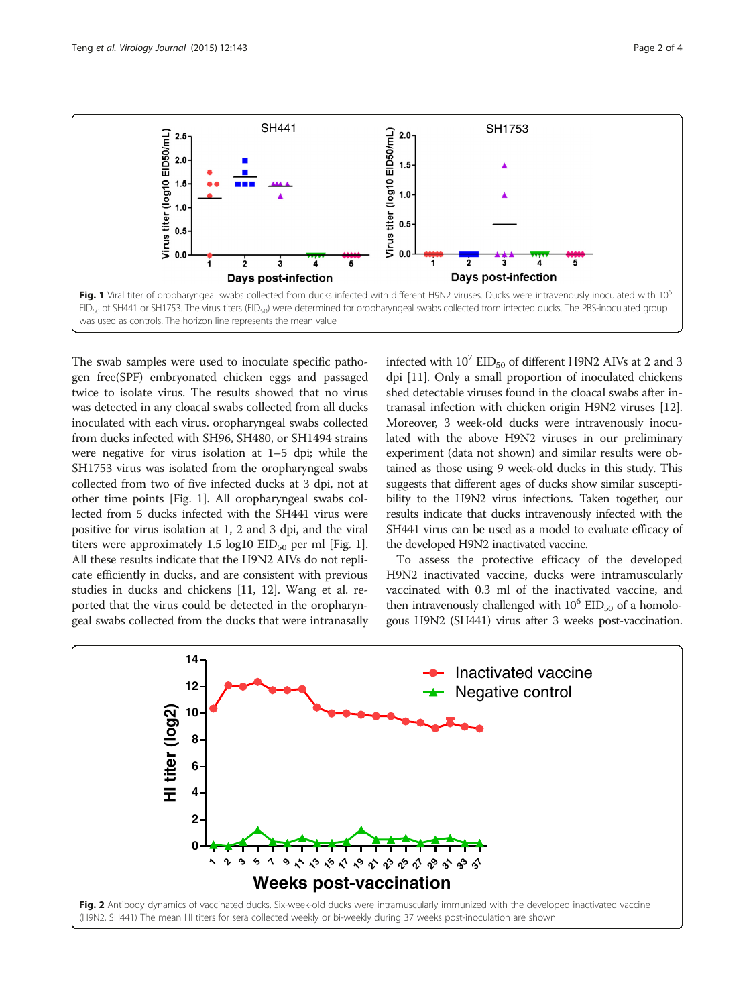<span id="page-1-0"></span>

The swab samples were used to inoculate specific pathogen free(SPF) embryonated chicken eggs and passaged twice to isolate virus. The results showed that no virus was detected in any cloacal swabs collected from all ducks inoculated with each virus. oropharyngeal swabs collected from ducks infected with SH96, SH480, or SH1494 strains were negative for virus isolation at 1–5 dpi; while the SH1753 virus was isolated from the oropharyngeal swabs collected from two of five infected ducks at 3 dpi, not at other time points [Fig. 1]. All oropharyngeal swabs collected from 5 ducks infected with the SH441 virus were positive for virus isolation at 1, 2 and 3 dpi, and the viral titers were approximately 1.5 log10  $EID_{50}$  per ml [Fig. 1]. All these results indicate that the H9N2 AIVs do not replicate efficiently in ducks, and are consistent with previous studies in ducks and chickens [\[11, 12\]](#page-3-0). Wang et al. reported that the virus could be detected in the oropharyngeal swabs collected from the ducks that were intranasally infected with  $10^7$  EID<sub>50</sub> of different H9N2 AIVs at 2 and 3 dpi [\[11](#page-3-0)]. Only a small proportion of inoculated chickens shed detectable viruses found in the cloacal swabs after intranasal infection with chicken origin H9N2 viruses [[12](#page-3-0)]. Moreover, 3 week-old ducks were intravenously inoculated with the above H9N2 viruses in our preliminary experiment (data not shown) and similar results were obtained as those using 9 week-old ducks in this study. This suggests that different ages of ducks show similar susceptibility to the H9N2 virus infections. Taken together, our results indicate that ducks intravenously infected with the SH441 virus can be used as a model to evaluate efficacy of the developed H9N2 inactivated vaccine.

To assess the protective efficacy of the developed H9N2 inactivated vaccine, ducks were intramuscularly vaccinated with 0.3 ml of the inactivated vaccine, and then intravenously challenged with  $10^6$  EID<sub>50</sub> of a homologous H9N2 (SH441) virus after 3 weeks post-vaccination.

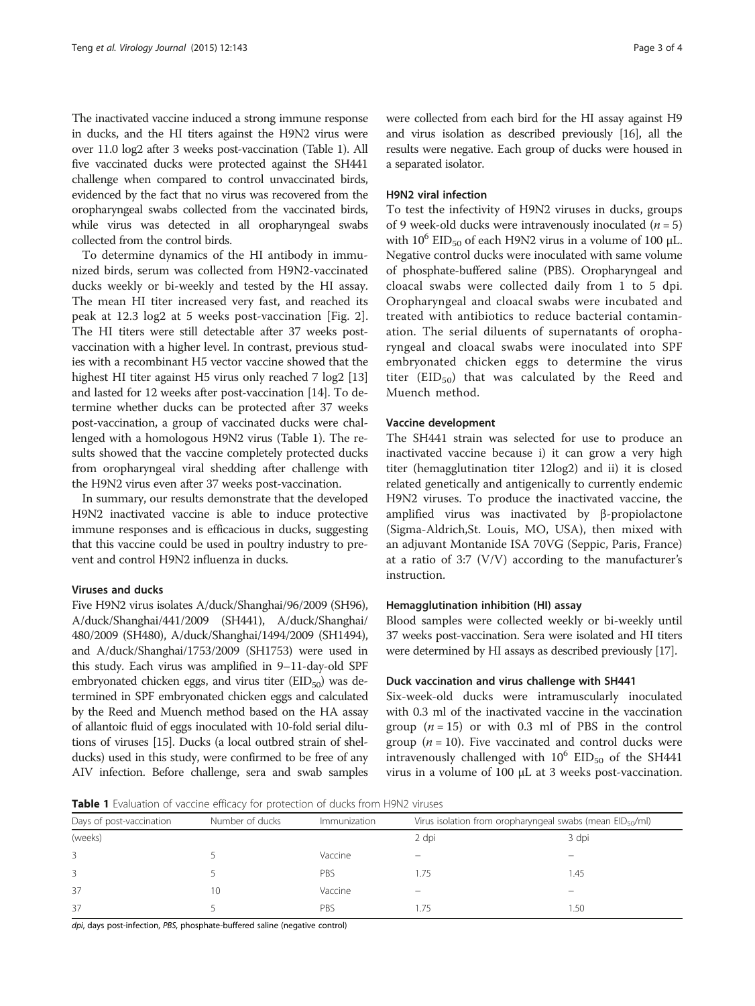The inactivated vaccine induced a strong immune response in ducks, and the HI titers against the H9N2 virus were over 11.0 log2 after 3 weeks post-vaccination (Table 1). All five vaccinated ducks were protected against the SH441 challenge when compared to control unvaccinated birds, evidenced by the fact that no virus was recovered from the oropharyngeal swabs collected from the vaccinated birds, while virus was detected in all oropharyngeal swabs collected from the control birds.

To determine dynamics of the HI antibody in immunized birds, serum was collected from H9N2-vaccinated ducks weekly or bi-weekly and tested by the HI assay. The mean HI titer increased very fast, and reached its peak at 12.3 log2 at 5 weeks post-vaccination [Fig. [2](#page-1-0)]. The HI titers were still detectable after 37 weeks postvaccination with a higher level. In contrast, previous studies with a recombinant H5 vector vaccine showed that the highest HI titer against H5 virus only reached 7 log2 [[13](#page-3-0)] and lasted for 12 weeks after post-vaccination [[14](#page-3-0)]. To determine whether ducks can be protected after 37 weeks post-vaccination, a group of vaccinated ducks were challenged with a homologous H9N2 virus (Table 1). The results showed that the vaccine completely protected ducks from oropharyngeal viral shedding after challenge with the H9N2 virus even after 37 weeks post-vaccination.

In summary, our results demonstrate that the developed H9N2 inactivated vaccine is able to induce protective immune responses and is efficacious in ducks, suggesting that this vaccine could be used in poultry industry to prevent and control H9N2 influenza in ducks.

#### Viruses and ducks

Five H9N2 virus isolates A/duck/Shanghai/96/2009 (SH96), A/duck/Shanghai/441/2009 (SH441), A/duck/Shanghai/ 480/2009 (SH480), A/duck/Shanghai/1494/2009 (SH1494), and A/duck/Shanghai/1753/2009 (SH1753) were used in this study. Each virus was amplified in 9–11-day-old SPF embryonated chicken eggs, and virus titer  $(EID_{50})$  was determined in SPF embryonated chicken eggs and calculated by the Reed and Muench method based on the HA assay of allantoic fluid of eggs inoculated with 10-fold serial dilutions of viruses [[15](#page-3-0)]. Ducks (a local outbred strain of shelducks) used in this study, were confirmed to be free of any AIV infection. Before challenge, sera and swab samples were collected from each bird for the HI assay against H9 and virus isolation as described previously [[16](#page-3-0)], all the results were negative. Each group of ducks were housed in a separated isolator.

#### H9N2 viral infection

To test the infectivity of H9N2 viruses in ducks, groups of 9 week-old ducks were intravenously inoculated ( $n = 5$ ) with  $10^6$  EID<sub>50</sub> of each H9N2 virus in a volume of 100  $\mu$ L. Negative control ducks were inoculated with same volume of phosphate-buffered saline (PBS). Oropharyngeal and cloacal swabs were collected daily from 1 to 5 dpi. Oropharyngeal and cloacal swabs were incubated and treated with antibiotics to reduce bacterial contamination. The serial diluents of supernatants of oropharyngeal and cloacal swabs were inoculated into SPF embryonated chicken eggs to determine the virus titer ( $EID_{50}$ ) that was calculated by the Reed and Muench method.

#### Vaccine development

The SH441 strain was selected for use to produce an inactivated vaccine because i) it can grow a very high titer (hemagglutination titer 12log2) and ii) it is closed related genetically and antigenically to currently endemic H9N2 viruses. To produce the inactivated vaccine, the amplified virus was inactivated by β-propiolactone (Sigma-Aldrich,St. Louis, MO, USA), then mixed with an adjuvant Montanide ISA 70VG (Seppic, Paris, France) at a ratio of 3:7 (V/V) according to the manufacturer's instruction.

#### Hemagglutination inhibition (HI) assay

Blood samples were collected weekly or bi-weekly until 37 weeks post-vaccination. Sera were isolated and HI titers were determined by HI assays as described previously [\[17](#page-3-0)].

#### Duck vaccination and virus challenge with SH441

Six-week-old ducks were intramuscularly inoculated with 0.3 ml of the inactivated vaccine in the vaccination group  $(n = 15)$  or with 0.3 ml of PBS in the control group ( $n = 10$ ). Five vaccinated and control ducks were intravenously challenged with  $10^6$  EID<sub>50</sub> of the SH441 virus in a volume of 100 μL at 3 weeks post-vaccination.

Table 1 Evaluation of vaccine efficacy for protection of ducks from H9N2 viruses

| Days of post-vaccination | Number of ducks | Immunization | Virus isolation from oropharyngeal swabs (mean $E D_{50}/m $ ) |       |
|--------------------------|-----------------|--------------|----------------------------------------------------------------|-------|
| (weeks)                  |                 |              | 2 dpi                                                          | 3 dpi |
| 3                        |                 | Vaccine      |                                                                |       |
|                          |                 | PBS          | 1.75                                                           | l.45  |
| 37                       | 10              | Vaccine      |                                                                |       |
| 37                       |                 | PBS          | .75                                                            | 1.50  |

dpi, days post-infection, PBS, phosphate-buffered saline (negative control)